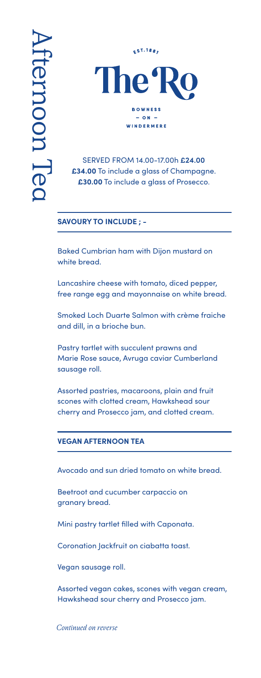

## SERVED FROM 14.00-17.00h **£24.00 £34.00** To include a glass of Champagne. **£30.00** To include a glass of Prosecco.

## **SAVOURY TO INCLUDE ; -**

Baked Cumbrian ham with Dijon mustard on white bread.

Lancashire cheese with tomato, diced pepper, free range egg and mayonnaise on white bread.

Smoked Loch Duarte Salmon with crème fraiche and dill, in a brioche bun.

Pastry tartlet with succulent prawns and Marie Rose sauce, Avruga caviar Cumberland sausage roll.

Assorted pastries, macaroons, plain and fruit scones with clotted cream, Hawkshead sour cherry and Prosecco jam, and clotted cream.

## **VEGAN AFTERNOON TEA**

Avocado and sun dried tomato on white bread.

Beetroot and cucumber carpaccio on granary bread.

Mini pastry tartlet filled with Caponata.

Coronation Jackfruit on ciabatta toast.

Vegan sausage roll.

Assorted vegan cakes, scones with vegan cream, Hawkshead sour cherry and Prosecco jam.

*Continued on reverse*